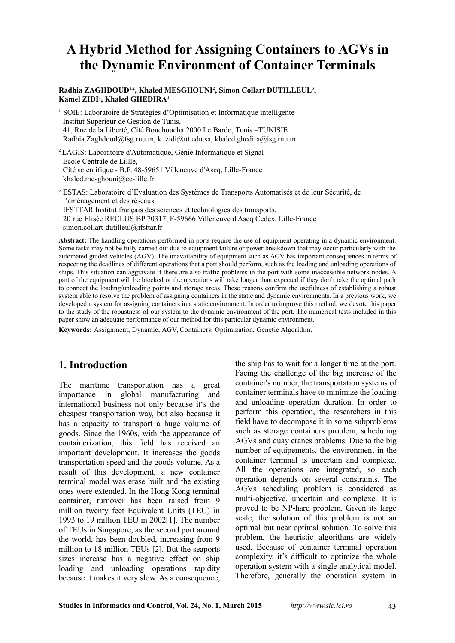# **A Hybrid Method for Assigning Containers to AGVs in the Dynamic Environment of Container Terminals**

#### **Radhia ZAGHDOUD1,2, Khaled MESGHOUNI<sup>2</sup> , Simon Collart DUTILLEUL<sup>3</sup> , Kamel ZIDI<sup>1</sup> , Khaled GHEDIRA<sup>1</sup>**

<sup>1</sup> SOIE: Laboratoire de Stratégies d'Optimisation et Informatique intelligente Institut Supérieur de Gestion de Tunis, 41, Rue de la Liberté, Cité Bouchoucha 2000 Le Bardo, Tunis –TUNISIE Radhia.Zaghdoud@fsg.rnu.tn, k\_zidi@ut.edu.sa, khaled.ghedira@isg.rnu.tn

<sup>2</sup>LAGIS: Laboratoire d'Automatique, Génie Informatique et Signal Ecole Centrale de Lillle, Cité scientifique - B.P. 48-59651 Villeneuve d'Ascq, Lille-France khaled.mesghouni@ec-lille.fr

<sup>3</sup> ESTAS: Laboratoire d'Évaluation des Systèmes de Transports Automatisés et de leur Sécurité, de l'aménagement et des réseaux IFSTTAR Institut français des sciences et technologies des transports, 20 rue Elisée RECLUS BP 70317, F-59666 Villeneuve d'Ascq Cedex, Lille-France simon.collart-dutilleul@ifsttar.fr

**Abstract:** The handling operations performed in ports require the use of equipment operating in a dynamic environment. Some tasks may not be fully carried out due to equipment failure or power breakdown that may occur particularly with the automated guided vehicles (AGV). The unavailability of equipment such as AGV has important consequences in terms of respecting the deadlines of different operations that a port should perform, such as the loading and unloading operations of ships. This situation can aggravate if there are also traffic problems in the port with some inaccessible network nodes. A part of the equipment will be blocked or the operations will take longer than expected if they don`t take the optimal path to connect the loading/unloading points and storage areas. These reasons confirm the usefulness of establishing a robust system able to resolve the problem of assigning containers in the static and dynamic environments. In a previous work, we developed a system for assigning containers in a static environment. In order to improve this method, we devote this paper to the study of the robustness of our system to the dynamic environment of the port. The numerical tests included in this paper show an adequate performance of our method for this particular dynamic environment.

**Keywords:** Assignment, Dynamic, AGV, Containers, Optimization, Genetic Algorithm.

# **1. Introduction**

The maritime transportation has a great importance in global manufacturing and international business not only because it's the cheapest transportation way, but also because it has a capacity to transport a huge volume of goods. Since the 1960s, with the appearance of containerization, this field has received an important development. It increases the goods transportation speed and the goods volume. As a result of this development, a new container terminal model was erase built and the existing ones were extended. In the Hong Kong terminal container, turnover has been raised from 9 million twenty feet Equivalent Units (TEU) in 1993 to 19 million TEU in 2002[1]. The number of TEUs in Singapore, as the second port around the world, has been doubled, increasing from 9 million to 18 million TEUs [2]. But the seaports sizes increase has a negative effect on ship loading and unloading operations rapidity because it makes it very slow. As a consequence, the ship has to wait for a longer time at the port. Facing the challenge of the big increase of the container's number, the transportation systems of container terminals have to minimize the loading and unloading operation duration. In order to perform this operation, the researchers in this field have to decompose it in some subproblems such as storage containers problem, scheduling AGVs and quay cranes problems. Due to the big number of equipements, the environment in the container terminal is uncertain and complexe. All the operations are integrated, so each operation depends on several constraints. The AGVs scheduling problem is considered as multi-objective, uncertain and complexe. It is proved to be NP-hard problem. Given its large scale, the solution of this problem is not an optimal but near optimal solution. To solve this problem, the heuristic algorithms are widely used. Because of container terminal operation complexity, it's difficult to optimize the whole operation system with a single analytical model. Therefore, generally the operation system in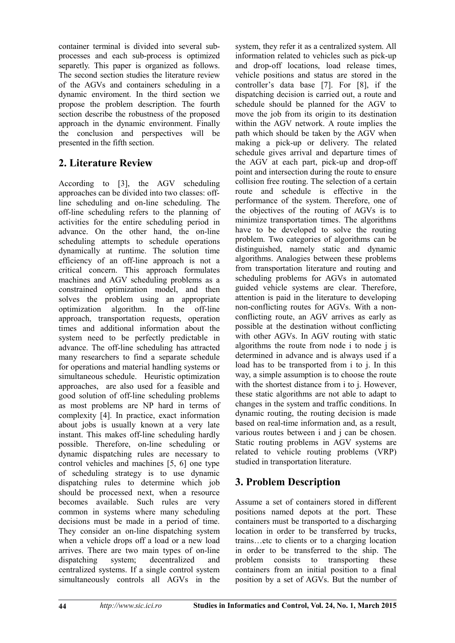container terminal is divided into several subprocesses and each sub-process is optimized separetly. This paper is organized as follows. The second section studies the literature review of the AGVs and containers scheduling in a dynamic enviroment. In the third section we propose the problem description. The fourth section describe the robustness of the proposed approach in the dynamic environment. Finally the conclusion and perspectives will be presented in the fifth section.

# **2. Literature Review**

According to [3], the AGV scheduling approaches can be divided into two classes: offline scheduling and on-line scheduling. The off-line scheduling refers to the planning of activities for the entire scheduling period in advance. On the other hand, the on-line scheduling attempts to schedule operations dynamically at runtime. The solution time efficiency of an off-line approach is not a critical concern. This approach formulates machines and AGV scheduling problems as a constrained optimization model, and then solves the problem using an appropriate optimization algorithm. In the off-line approach, transportation requests, operation times and additional information about the system need to be perfectly predictable in advance. The off-line scheduling has attracted many researchers to find a separate schedule for operations and material handling systems or simultaneous schedule. Heuristic optimization approaches, are also used for a feasible and good solution of off-line scheduling problems as most problems are NP hard in terms of complexity [4]. In practice, exact information about jobs is usually known at a very late instant. This makes off-line scheduling hardly possible. Therefore, on-line scheduling or dynamic dispatching rules are necessary to control vehicles and machines [5, 6] one type of scheduling strategy is to use dynamic dispatching rules to determine which job should be processed next, when a resource becomes available. Such rules are very common in systems where many scheduling decisions must be made in a period of time. They consider an on-line dispatching system when a vehicle drops off a load or a new load arrives. There are two main types of on-line dispatching system; decentralized and centralized systems. If a single control system simultaneously controls all AGVs in the

system, they refer it as a centralized system. All information related to vehicles such as pick-up and drop-off locations, load release times, vehicle positions and status are stored in the controller's data base [7]. For [8], if the dispatching decision is carried out, a route and schedule should be planned for the AGV to move the job from its origin to its destination within the AGV network. A route implies the path which should be taken by the AGV when making a pick-up or delivery. The related schedule gives arrival and departure times of the AGV at each part, pick-up and drop-off point and intersection during the route to ensure collision free routing. The selection of a certain route and schedule is effective in the performance of the system. Therefore, one of the objectives of the routing of AGVs is to minimize transportation times. The algorithms have to be developed to solve the routing problem. Two categories of algorithms can be distinguished, namely static and dynamic algorithms. Analogies between these problems from transportation literature and routing and scheduling problems for AGVs in automated guided vehicle systems are clear. Therefore, attention is paid in the literature to developing non-conflicting routes for AGVs. With a nonconflicting route, an AGV arrives as early as possible at the destination without conflicting with other AGVs. In AGV routing with static algorithms the route from node i to node j is determined in advance and is always used if a load has to be transported from i to j. In this way, a simple assumption is to choose the route with the shortest distance from i to j. However, these static algorithms are not able to adapt to changes in the system and traffic conditions. In dynamic routing, the routing decision is made based on real-time information and, as a result, various routes between *i* and *i* can be chosen. Static routing problems in AGV systems are related to vehicle routing problems (VRP) studied in transportation literature.

# **3. Problem Description**

Assume a set of containers stored in different positions named depots at the port. These containers must be transported to a discharging location in order to be transferred by trucks, trains…etc to clients or to a charging location in order to be transferred to the ship. The problem consists to transporting these containers from an initial position to a final position by a set of AGVs. But the number of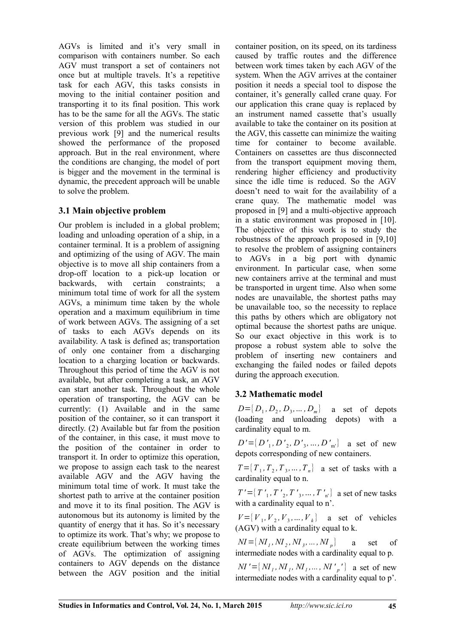AGVs is limited and it's very small in comparison with containers number. So each AGV must transport a set of containers not once but at multiple travels. It's a repetitive task for each AGV, this tasks consists in moving to the initial container position and transporting it to its final position. This work has to be the same for all the AGVs. The static version of this problem was studied in our previous work [9] and the numerical results showed the performance of the proposed approach. But in the real environment, where the conditions are changing, the model of port is bigger and the movement in the terminal is dynamic, the precedent approach will be unable to solve the problem.

### **3.1 Main objective problem**

Our problem is included in a global problem; loading and unloading operation of a ship, in a container terminal. It is a problem of assigning and optimizing of the using of AGV. The main objective is to move all ship containers from a drop-off location to a pick-up location or backwards, with certain constraints; a minimum total time of work for all the system AGVs, a minimum time taken by the whole operation and a maximum equilibrium in time of work between AGVs. The assigning of a set of tasks to each AGVs depends on its availability. A task is defined as; transportation of only one container from a discharging location to a charging location or backwards. Throughout this period of time the AGV is not available, but after completing a task, an AGV can start another task. Throughout the whole operation of transporting, the AGV can be currently: (1) Available and in the same position of the container, so it can transport it directly. (2) Available but far from the position of the container, in this case, it must move to the position of the container in order to transport it. In order to optimize this operation, we propose to assign each task to the nearest available AGV and the AGV having the minimum total time of work. It must take the shortest path to arrive at the container position and move it to its final position. The AGV is autonomous but its autonomy is limited by the quantity of energy that it has. So it's necessary to optimize its work. That's why; we propose to create equilibrium between the working times of AGVs. The optimization of assigning containers to AGV depends on the distance between the AGV position and the initial

container position, on its speed, on its tardiness caused by traffic routes and the difference between work times taken by each AGV of the system. When the AGV arrives at the container position it needs a special tool to dispose the container, it's generally called crane quay. For our application this crane quay is replaced by an instrument named cassette that's usually available to take the container on its position at the AGV, this cassette can minimize the waiting time for container to become available. Containers on cassettes are thus disconnected from the transport equipment moving them, rendering higher efficiency and productivity since the idle time is reduced. So the AGV doesn't need to wait for the availability of a crane quay. The mathematic model was proposed in [9] and a multi-objective approach in a static environment was proposed in [10]. The objective of this work is to study the robustness of the approach proposed in [9,10] to resolve the problem of assigning containers to AGVs in a big port with dynamic environment. In particular case, when some new containers arrive at the terminal and must be transported in urgent time. Also when some nodes are unavailable, the shortest paths may be unavailable too, so the necessity to replace this paths by others which are obligatory not optimal because the shortest paths are unique. So our exact objective in this work is to propose a robust system able to solve the problem of inserting new containers and exchanging the failed nodes or failed depots during the approach execution.

### **3.2 Mathematic model**

 $D = \{D_1, D_2, D_3, \dots, D_m\}$  a set of depots (loading and unloading depots) with a cardinality equal to m.

 $D' = \{D'_{1}, D'_{2}, D'_{3}, ..., D'_{m'}\}$  a set of new depots corresponding of new containers.

 $T = \{T_1, T_2, T_3, \dots, T_n\}$  a set of tasks with a cardinality equal to n.

 $T' = \{T'_{1}, T'_{2}, T'_{3}, \ldots, T'_{n'}\}$  a set of new tasks with a cardinality equal to n'.

 $V = \{V_1, V_2, V_3, \dots, V_k\}$  a set of vehicles (AGV) with a cardinality equal to k.

 $MI = \left\{ {M_I,M_2,M_3,...,M_p} \right\}$ a set of intermediate nodes with a cardinality equal to p.

 $\mathcal{M}' = \{ M_I, M_I, M_I, \dots, M' \}$  a set of new intermediate nodes with a cardinality equal to p'.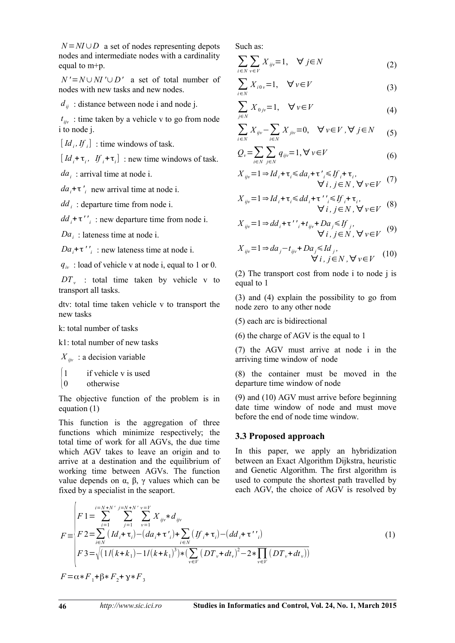$N = NI \cup D$  a set of nodes representing depots nodes and intermediate nodes with a cardinality equal to m+p.

*N '*=*N*∪*NI '*∪*D'* a set of total number of nodes with new tasks and new nodes.

*dij* : distance between node i and node j.

 $t_{ijv}$ : time taken by a vehicle v to go from node i to node j.

 $\left[ Id_i, If_i \right]$ : time windows of task.

 $\left[ Id_i + \tau_i, If_i + \tau_i \right]$ : new time windows of task.

*da<sup>i</sup>* : arrival time at node i.

 $da_i + \tau'$ <sup>*i*</sup> new arrival time at node i.

*dd <sup>i</sup>* : departure time from node i.

 $dd_i + \tau'$ <sup>'</sup><sub>i</sub>: new departure time from node i.

*Da<sup>i</sup>* : lateness time at node i.

 $Da_i + \tau'$ <sup>'</sup><sub>*i*</sub>: new lateness time at node i.

 $q_{iv}$ : load of vehicle v at node i, equal to 1 or 0.

 $DT_{v}$  : total time taken by vehicle v to transport all tasks.

dtv: total time taken vehicle v to transport the new tasks

k: total number of tasks

k1: total number of new tasks

 $X_{ijy}$  : a decision variable

 $1$  if vehicle v is used

$$
\begin{cases} 0 & \text{otherwise} \end{cases}
$$

The objective function of the problem is in equation (1)

This function is the aggregation of three functions which minimize respectively; the total time of work for all AGVs, the due time which AGV takes to leave an origin and to arrive at a destination and the equilibrium of working time between AGVs. The function value depends on α, β, γ values which can be fixed by a specialist in the seaport.

Such as:

$$
\sum_{i \in N} \sum_{v \in V} X_{ijv} = 1, \quad \forall j \in N \tag{2}
$$

$$
\sum_{i \in N} X_{i0\nu} = 1, \quad \forall \nu \in V \tag{3}
$$

$$
\sum_{j \in N} X_{0j\nu} = 1, \quad \forall \nu \in V \tag{4}
$$

$$
\sum_{i \in N} X_{ijv} - \sum_{i \in N} X_{jiv} = 0, \quad \forall v \in V, \forall j \in N \qquad (5)
$$

$$
Q_{\nu} = \sum_{i \in N} \sum_{j \in N} q_{ij\nu} = 1, \forall \nu \in V
$$
 (6)

$$
X_{ijv} = 1 \Rightarrow Id_i + \tau_i \le da_i + \tau'_i \le If_i + \tau_i,
$$
  

$$
\forall i, j \in N, \forall v \in V \tag{7}
$$

$$
X_{ijv} = 1 \Rightarrow Id_i + \tau_i \le dd_i + \tau' \le df_i + \tau_i,
$$
  
\n
$$
\forall i, j \in N, \forall v \in V
$$
 (8)

$$
X_{ijv} = 1 \Rightarrow dd_i + \tau' \cdot f_{ijv} + Da_j \leq f_j,
$$
  

$$
\forall i, j \in N, \forall v \in V \tag{9}
$$

$$
X_{ijv} = 1 \Rightarrow da_j - t_{ijv} + Da_j \leq Id_j, \forall i, j \in N, \forall v \in V \quad (10)
$$

(2) The transport cost from node i to node j is equal to 1

(3) and (4) explain the possibility to go from node zero to any other node

(5) each arc is bidirectional

(6) the charge of AGV is the equal to 1

(7) the AGV must arrive at node i in the arriving time window of node

(8) the container must be moved in the departure time window of node

(9) and (10) AGV must arrive before beginning date time window of node and must move before the end of node time window.

#### **3.3 Proposed approach**

In this paper, we apply an hybridization between an Exact Algorithm Dijkstra, heuristic and Genetic Algorithm. The first algorithm is used to compute the shortest path travelled by each AGV, the choice of AGV is resolved by

$$
F = \begin{cases} F1 = \sum_{i=1}^{i=N+N'} \sum_{j=1}^{j=N+N'} \sum_{v=1}^{v=V} X_{ijv} * d_{ijv} \\ F2 = \sum_{i\in N} (Id_i + \tau_i) - (da_i + \tau'_i) + \sum_{i\in N} (If_i + \tau_i) - (dd_i + \tau'_i) \\ F3 = \sqrt{(1/(k+k_1) - 1/(k+k_1)^3)} * (\sum_{v\in V} (DT_v + dt_v)^2 - 2 * \prod_{v\in V} (DT_v + dt_v)) \\ F = \alpha * F_1 + \beta * F_2 + \gamma * F_3 \end{cases} (1)
$$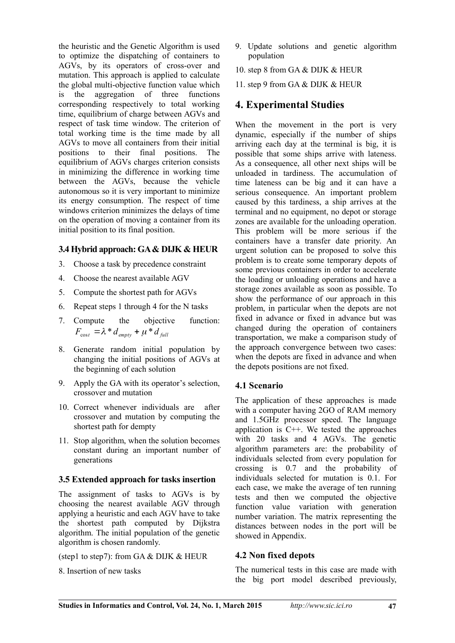the heuristic and the Genetic Algorithm is used to optimize the dispatching of containers to AGVs, by its operators of cross-over and mutation. This approach is applied to calculate the global multi-objective function value which is the aggregation of three functions corresponding respectively to total working time, equilibrium of charge between AGVs and respect of task time window. The criterion of total working time is the time made by all AGVs to move all containers from their initial positions to their final positions. The equilibrium of AGVs charges criterion consists in minimizing the difference in working time between the AGVs, because the vehicle autonomous so it is very important to minimize its energy consumption. The respect of time windows criterion minimizes the delays of time on the operation of moving a container from its initial position to its final position.

#### **3.4 Hybrid approach: GA & DIJK & HEUR**

- 3. Choose a task by precedence constraint
- 4. Choose the nearest available AGV
- 5. Compute the shortest path for AGVs
- 6. Repeat steps 1 through 4 for the N tasks
- 7. Compute the objective function:  $F_{\text{cost}} = \lambda * d_{\text{empty}} + \mu * d_{\text{full}}$
- 8. Generate random initial population by changing the initial positions of AGVs at the beginning of each solution
- 9. Apply the GA with its operator's selection, crossover and mutation
- 10. Correct whenever individuals are after crossover and mutation by computing the shortest path for dempty
- 11. Stop algorithm, when the solution becomes constant during an important number of generations

#### **3.5 Extended approach for tasks insertion**

The assignment of tasks to AGVs is by choosing the nearest available AGV through applying a heuristic and each AGV have to take the shortest path computed by Dijkstra algorithm. The initial population of the genetic algorithm is chosen randomly.

(step1 to step7): from GA & DIJK & HEUR

8. Insertion of new tasks

- 9. Update solutions and genetic algorithm population
- 10. step 8 from GA & DIJK & HEUR
- 11. step 9 from GA & DIJK & HEUR

## **4. Experimental Studies**

When the movement in the port is very dynamic, especially if the number of ships arriving each day at the terminal is big, it is possible that some ships arrive with lateness. As a consequence, all other next ships will be unloaded in tardiness. The accumulation of time lateness can be big and it can have a serious consequence. An important problem caused by this tardiness, a ship arrives at the terminal and no equipment, no depot or storage zones are available for the unloading operation. This problem will be more serious if the containers have a transfer date priority. An urgent solution can be proposed to solve this problem is to create some temporary depots of some previous containers in order to accelerate the loading or unloading operations and have a storage zones available as soon as possible. To show the performance of our approach in this problem, in particular when the depots are not fixed in advance or fixed in advance but was changed during the operation of containers transportation, we make a comparison study of the approach convergence between two cases: when the depots are fixed in advance and when the depots positions are not fixed.

### **4.1 Scenario**

The application of these approaches is made with a computer having 2GO of RAM memory and 1.5GHz processor speed. The language application is C++. We tested the approaches with 20 tasks and 4 AGVs. The genetic algorithm parameters are: the probability of individuals selected from every population for crossing is 0.7 and the probability of individuals selected for mutation is 0.1. For each case, we make the average of ten running tests and then we computed the objective function value variation with generation number variation. The matrix representing the distances between nodes in the port will be showed in Appendix.

### **4.2 Non fixed depots**

The numerical tests in this case are made with the big port model described previously,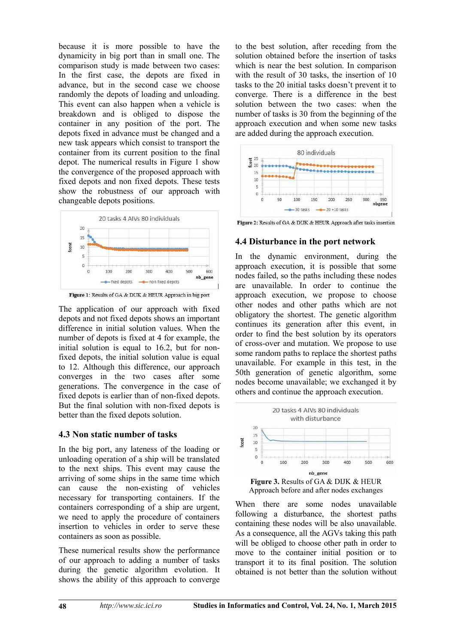because it is more possible to have the dynamicity in big port than in small one. The comparison study is made between two cases: In the first case, the depots are fixed in advance, but in the second case we choose randomly the depots of loading and unloading. This event can also happen when a vehicle is breakdown and is obliged to dispose the container in any position of the port. The depots fixed in advance must be changed and a new task appears which consist to transport the container from its current position to the final depot. The numerical results in Figure 1 show the convergence of the proposed approach with fixed depots and non fixed depots. These tests show the robustness of our approach with changeable depots positions.



Figure 1: Results of GA & DIJK & HEUR Approach in big port

The application of our approach with fixed depots and not fixed depots shows an important difference in initial solution values. When the number of depots is fixed at 4 for example, the initial solution is equal to 16.2, but for nonfixed depots, the initial solution value is equal to 12. Although this difference, our approach converges in the two cases after some generations. The convergence in the case of fixed depots is earlier than of non-fixed depots. But the final solution with non-fixed depots is better than the fixed depots solution.

#### **4.3 Non static number of tasks**

In the big port, any lateness of the loading or unloading operation of a ship will be translated to the next ships. This event may cause the arriving of some ships in the same time which can cause the non-existing of vehicles necessary for transporting containers. If the containers corresponding of a ship are urgent, we need to apply the procedure of containers insertion to vehicles in order to serve these containers as soon as possible.

These numerical results show the performance of our approach to adding a number of tasks during the genetic algorithm evolution. It shows the ability of this approach to converge

to the best solution, after receding from the solution obtained before the insertion of tasks which is near the best solution. In comparison with the result of 30 tasks, the insertion of 10 tasks to the 20 initial tasks doesn't prevent it to converge. There is a difference in the best solution between the two cases: when the number of tasks is 30 from the beginning of the approach execution and when some new tasks are added during the approach execution.



Figure 2: Results of GA & DIJK & HEUR Approach after tasks insertion

### **4.4 Disturbance in the port network**

In the dynamic environment, during the approach execution, it is possible that some nodes failed, so the paths including these nodes are unavailable. In order to continue the approach execution, we propose to choose other nodes and other paths which are not obligatory the shortest. The genetic algorithm continues its generation after this event, in order to find the best solution by its operators of cross-over and mutation. We propose to use some random paths to replace the shortest paths unavailable. For example in this test, in the 50th generation of genetic algorithm, some nodes become unavailable; we exchanged it by others and continue the approach execution.



When there are some nodes unavailable following a disturbance, the shortest paths containing these nodes will be also unavailable. As a consequence, all the AGVs taking this path will be obliged to choose other path in order to move to the container initial position or to transport it to its final position. The solution obtained is not better than the solution without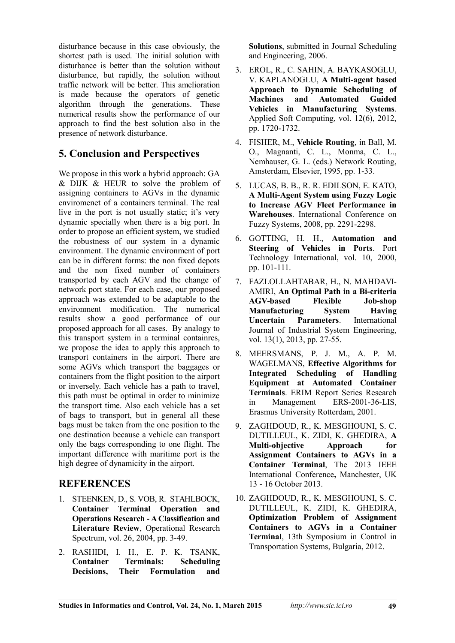disturbance because in this case obviously, the shortest path is used. The initial solution with disturbance is better than the solution without disturbance, but rapidly, the solution without traffic network will be better. This amelioration is made because the operators of genetic algorithm through the generations. These numerical results show the performance of our approach to find the best solution also in the presence of network disturbance.

# **5. Conclusion and Perspectives**

We propose in this work a hybrid approach: GA & DIJK & HEUR to solve the problem of assigning containers to AGVs in the dynamic enviromenet of a containers terminal. The real live in the port is not usually static; it's very dynamic specially when there is a big port. In order to propose an efficient system, we studied the robustness of our system in a dynamic environment. The dynamic environment of port can be in different forms: the non fixed depots and the non fixed number of containers transported by each AGV and the change of network port state. For each case, our proposed approach was extended to be adaptable to the environment modification. The numerical results show a good performance of our proposed approach for all cases. By analogy to this transport system in a terminal containres, we propose the idea to apply this approach to transport containers in the airport. There are some AGVs which transport the baggages or containers from the flight position to the airport or inversely. Each vehicle has a path to travel, this path must be optimal in order to minimize the transport time. Also each vehicle has a set of bags to transport, but in general all these bags must be taken from the one position to the one destination because a vehicle can transport only the bags corresponding to one flight. The important difference with maritime port is the high degree of dynamicity in the airport.

# **REFERENCES**

- 1. STEENKEN, D., S. VOB, R. STAHLBOCK, **Container Terminal Operation and Operations Research - A Classification and Literature Review**, Operational Research Spectrum, vol. 26, 2004, pp. 3-49.
- 2. RASHIDI, I. H., E. P. K. TSANK, **Container Terminals: Scheduling Decisions, Their Formulation and**

**Solutions**, submitted in Journal Scheduling and Engineering, 2006.

- 3. EROL, R., C. SAHIN, A. BAYKASOGLU, V. KAPLANOGLU, **A Multi-agent based Approach to Dynamic Scheduling of Machines and Automated Guided Vehicles in Manufacturing Systems**. Applied Soft Computing, vol. 12(6), 2012, pp. 1720-1732.
- 4. FISHER, M., **Vehicle Routing**, in Ball, M. O., Magnanti, C. L., Monma, C. L., Nemhauser, G. L. (eds.) Network Routing, Amsterdam, Elsevier, 1995, pp. 1-33.
- 5. LUCAS, B. B., R. R. EDILSON, E. KATO, **A Multi-Agent System using Fuzzy Logic to Increase AGV Fleet Performance in Warehouses**. International Conference on Fuzzy Systems, 2008, pp. 2291-2298.
- 6. GOTTING, H. H., **Automation and Steering of Vehicles in Ports**. Port Technology International, vol. 10, 2000, pp. 101-111.
- 7. FAZLOLLAHTABAR, H., N. MAHDAVI-AMIRI, **An Optimal Path in a Bi-criteria AGV-based Flexible Job-shop Manufacturing System Having Uncertain Parameters**. International Journal of Industrial System Engineering, vol. 13(1), 2013, pp. 27-55.
- 8. MEERSMANS, P. J. M., A. P. M. WAGELMANS, **Effective Algorithms for Integrated Scheduling of Handling Equipment at Automated Container Terminals**. ERIM Report Series Research in Management ERS-2001-36-LIS, Erasmus University Rotterdam, 2001.
- 9. ZAGHDOUD, R., K. MESGHOUNI, S. C. DUTILLEUL, K. ZIDI, K. GHEDIRA, **A Multi-objective Approach for Assignment Containers to AGVs in a Container Terminal**, The 2013 IEEE International Conference**,** Manchester, UK 13 - 16 October 2013.
- 10. ZAGHDOUD, R., K. MESGHOUNI, S. C. DUTILLEUL, K. ZIDI, K. GHEDIRA, **Optimization Problem of Assignment Containers to AGVs in a Container Terminal**, 13th Symposium in Control in Transportation Systems, Bulgaria, 2012.